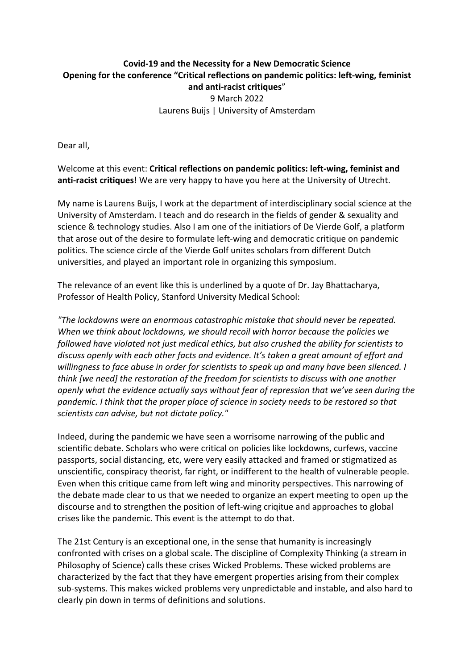## **Covid-19 and the Necessity for a New Democratic Science Opening for the conference "Critical reflections on pandemic politics: left-wing, feminist and anti-racist critiques**" 9 March 2022 Laurens Buijs | University of Amsterdam

Dear all,

Welcome at this event: **Critical reflections on pandemic politics: left-wing, feminist and anti-racist critiques**! We are very happy to have you here at the University of Utrecht.

My name is Laurens Buijs, I work at the department of interdisciplinary social science at the University of Amsterdam. I teach and do research in the fields of gender & sexuality and science & technology studies. Also I am one of the initiatiors of De Vierde Golf, a platform that arose out of the desire to formulate left-wing and democratic critique on pandemic politics. The science circle of the Vierde Golf unites scholars from different Dutch universities, and played an important role in organizing this symposium.

The relevance of an event like this is underlined by a quote of Dr. Jay Bhattacharya, Professor of Health Policy, Stanford University Medical School:

*"The lockdowns were an enormous catastrophic mistake that should never be repeated. When we think about lockdowns, we should recoil with horror because the policies we followed have violated not just medical ethics, but also crushed the ability for scientists to discuss openly with each other facts and evidence. It's taken a great amount of effort and willingness to face abuse in order for scientists to speak up and many have been silenced. I think [we need] the restoration of the freedom for scientists to discuss with one another openly what the evidence actually says without fear of repression that we've seen during the pandemic. I think that the proper place of science in society needs to be restored so that scientists can advise, but not dictate policy."*

Indeed, during the pandemic we have seen a worrisome narrowing of the public and scientific debate. Scholars who were critical on policies like lockdowns, curfews, vaccine passports, social distancing, etc, were very easily attacked and framed or stigmatized as unscientific, conspiracy theorist, far right, or indifferent to the health of vulnerable people. Even when this critique came from left wing and minority perspectives. This narrowing of the debate made clear to us that we needed to organize an expert meeting to open up the discourse and to strengthen the position of left-wing criqitue and approaches to global crises like the pandemic. This event is the attempt to do that.

The 21st Century is an exceptional one, in the sense that humanity is increasingly confronted with crises on a global scale. The discipline of Complexity Thinking (a stream in Philosophy of Science) calls these crises Wicked Problems. These wicked problems are characterized by the fact that they have emergent properties arising from their complex sub-systems. This makes wicked problems very unpredictable and instable, and also hard to clearly pin down in terms of definitions and solutions.